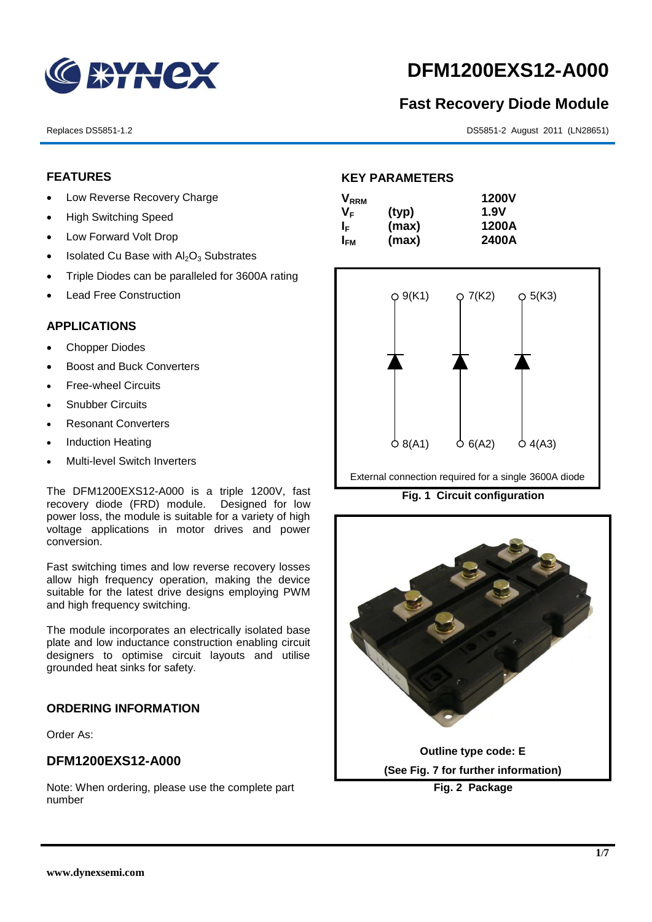

# **DFM1200EXS12-A000**

# **Fast Recovery Diode Module**

Replaces DS5851-1.2 DS5851-2 August 2011 (LN28651)

## **FEATURES**

- Low Reverse Recovery Charge
- High Switching Speed
- Low Forward Volt Drop
- Isolated Cu Base with  $Al_2O_3$  Substrates
- Triple Diodes can be paralleled for 3600A rating
- Lead Free Construction

#### **APPLICATIONS**

- Chopper Diodes
- Boost and Buck Converters
- **Free-wheel Circuits**
- Snubber Circuits
- Resonant Converters
- Induction Heating
- Multi-level Switch Inverters

The DFM1200EXS12-A000 is a triple 1200V, fast recovery diode (FRD) module. Designed for low power loss, the module is suitable for a variety of high voltage applications in motor drives and power conversion.

Fast switching times and low reverse recovery losses allow high frequency operation, making the device suitable for the latest drive designs employing PWM and high frequency switching.

The module incorporates an electrically isolated base plate and low inductance construction enabling circuit designers to optimise circuit layouts and utilise grounded heat sinks for safety.

# **ORDERING INFORMATION**

Order As:

### **DFM1200EXS12-A000**

Note: When ordering, please use the complete part number

# **KEY PARAMETERS**

| $\mathsf{V}_{\mathsf{RRM}}$ |       | <b>1200V</b> |
|-----------------------------|-------|--------------|
| Vғ                          | (typ) | 1.9V         |
| IF.                         | (max) | 1200A        |
| I <sub>FМ</sub>             | (max) | 2400A        |



External connection required for a single 3600A diode

**Fig. 1 Circuit configuration**

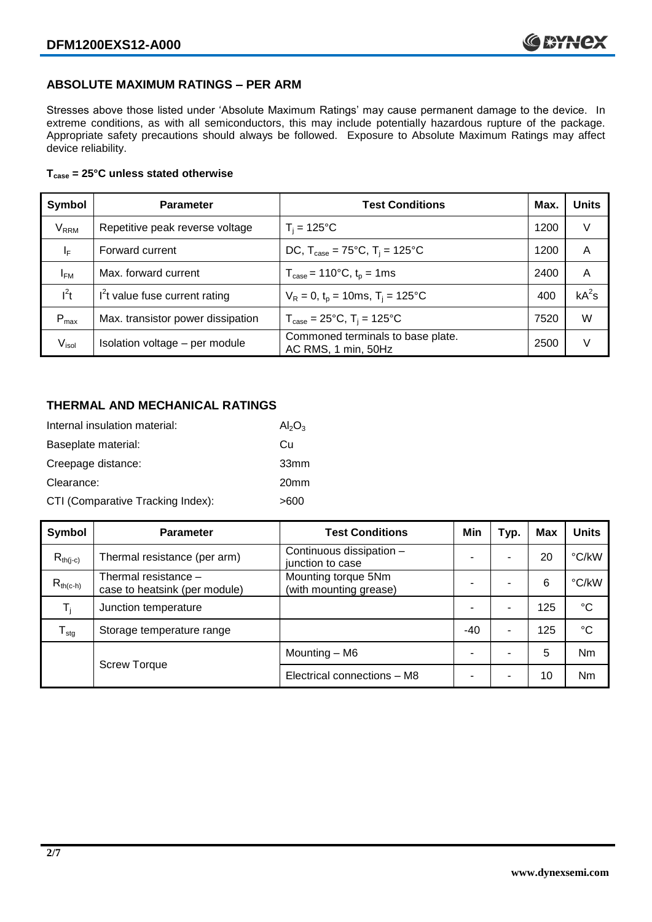# **ABSOLUTE MAXIMUM RATINGS – PER ARM**

Stresses above those listed under 'Absolute Maximum Ratings' may cause permanent damage to the device. In extreme conditions, as with all semiconductors, this may include potentially hazardous rupture of the package. Appropriate safety precautions should always be followed. Exposure to Absolute Maximum Ratings may affect device reliability.

#### **Tcase = 25°C unless stated otherwise**

| Symbol                 | <b>Parameter</b>                  | <b>Test Conditions</b>                                                     | Max. | <b>Units</b> |
|------------------------|-----------------------------------|----------------------------------------------------------------------------|------|--------------|
| <b>V<sub>RRM</sub></b> | Repetitive peak reverse voltage   | $T_i = 125$ °C                                                             | 1200 | V            |
| ΙF                     | Forward current                   | DC, $T_{\text{case}} = 75^{\circ}C$ , $T_i = 125^{\circ}C$                 | 1200 | A            |
| $I_{FM}$               | Max. forward current              | $T_{\text{case}} = 110^{\circ}C, t_{p} = 1ms$                              | 2400 | A            |
| $I^2t$                 | $I2t$ value fuse current rating   | $V_R = 0$ , $t_p = 10$ ms, $T_i = 125$ °C                                  | 400  | $kA^2s$      |
| $P_{\text{max}}$       | Max. transistor power dissipation | $T_{\text{case}} = 25^{\circ}\text{C}, T_{\text{i}} = 125^{\circ}\text{C}$ | 7520 | W            |
| V <sub>isol</sub>      | Isolation voltage - per module    | Commoned terminals to base plate.<br>AC RMS, 1 min, 50Hz                   | 2500 | V            |

# **THERMAL AND MECHANICAL RATINGS**

| Internal insulation material:     | $Al_2O_3$        |
|-----------------------------------|------------------|
| Baseplate material:               | Сū               |
| Creepage distance:                | 33mm             |
| Clearance:                        | 20 <sub>mm</sub> |
| CTI (Comparative Tracking Index): | >600             |

| Symbol           | <b>Parameter</b>                                      | <b>Test Conditions</b>                        | Min | Typ.                     | <b>Max</b> | <b>Units</b> |
|------------------|-------------------------------------------------------|-----------------------------------------------|-----|--------------------------|------------|--------------|
| $R_{th(i-c)}$    | Thermal resistance (per arm)                          | Continuous dissipation -<br>junction to case  |     | $\overline{\phantom{0}}$ | 20         | °C/kW        |
| $R_{th(c-h)}$    | Thermal resistance -<br>case to heatsink (per module) | Mounting torque 5Nm<br>(with mounting grease) |     | ۰                        | 6          | °C/kW        |
| $T_i$            | Junction temperature                                  |                                               |     | $\overline{\phantom{0}}$ | 125        | $^{\circ}C$  |
| $T_{\text{stg}}$ | Storage temperature range                             |                                               | -40 | ۰                        | 125        | $^{\circ}C$  |
|                  |                                                       | Mounting - M6                                 |     | $\overline{\phantom{0}}$ | 5          | Nm           |
|                  | <b>Screw Torque</b>                                   | Electrical connections - M8                   |     | $\overline{\phantom{0}}$ | 10         | Nm           |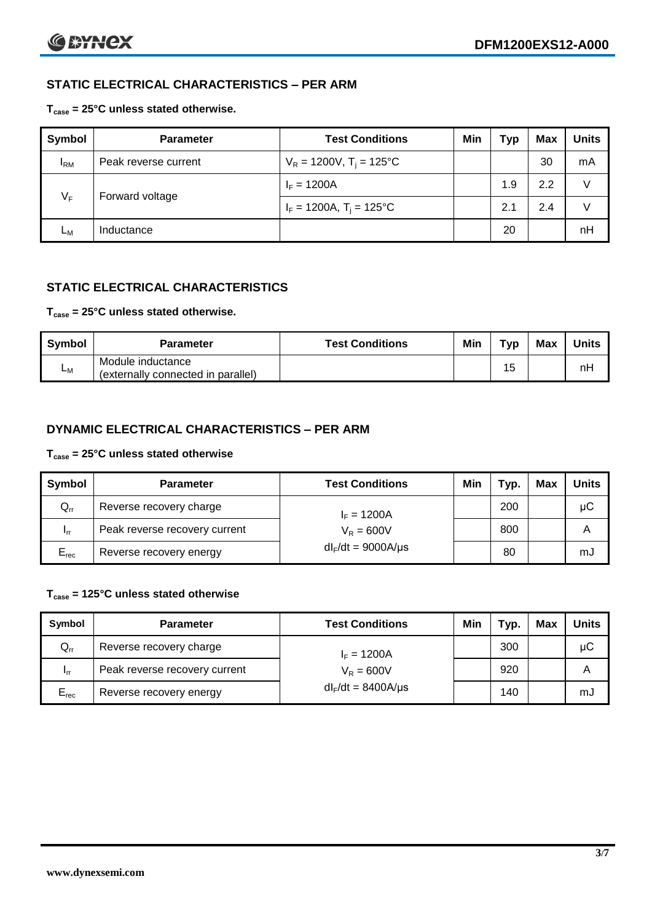# **STATIC ELECTRICAL CHARACTERISTICS – PER ARM**

#### **Tcase = 25°C unless stated otherwise.**

| Symbol       | <b>Parameter</b>     | <b>Test Conditions</b>                 | Min | Typ | <b>Max</b> | <b>Units</b> |
|--------------|----------------------|----------------------------------------|-----|-----|------------|--------------|
| $I_{\rm RM}$ | Peak reverse current | $V_R = 1200V$ , T <sub>i</sub> = 125°C |     |     | 30         | mA           |
| $V_F$        | Forward voltage      | $I_F = 1200A$                          |     | 1.9 | 2.2        | V            |
|              |                      | $I_F = 1200A$ , $T_i = 125^{\circ}C$   |     | 2.1 | 2.4        | V            |
| Lм           | Inductance           |                                        |     | 20  |            | nH           |

# **STATIC ELECTRICAL CHARACTERISTICS**

# **Tcase = 25°C unless stated otherwise.**

| <b>Symbol</b> | <b>Parameter</b>                                        | <b>Test Conditions</b> | Min | Тур | <b>Max</b> | <b>Units</b> |
|---------------|---------------------------------------------------------|------------------------|-----|-----|------------|--------------|
| <b>L</b> M    | Module inductance<br>(externally connected in parallel) |                        |     | 15  |            | nH           |

# **DYNAMIC ELECTRICAL CHARACTERISTICS – PER ARM**

#### **Tcase = 25°C unless stated otherwise**

| <b>Symbol</b>   | <b>Parameter</b>              | <b>Test Conditions</b>  | Min | Typ. | Max | Units |
|-----------------|-------------------------------|-------------------------|-----|------|-----|-------|
| $Q_{rr}$        | Reverse recovery charge       | $I_F = 1200A$           |     | 200  |     | μC    |
| 1 <sub>rr</sub> | Peak reverse recovery current | $V_R = 600V$            |     | 800  |     | Α     |
| $E_{rec}$       | Reverse recovery energy       | $dl_F/dt = 9000A/\mu s$ |     | 80   |     | mJ    |

#### **Tcase = 125°C unless stated otherwise**

| Symbol                     | <b>Parameter</b>                              | <b>Test Conditions</b>  | Min | Typ. | Max | Units |
|----------------------------|-----------------------------------------------|-------------------------|-----|------|-----|-------|
| $\mathsf{Q}_{\mathsf{rr}}$ | Reverse recovery charge                       | $I_F = 1200A$           |     | 300  |     | μC    |
| - Irr                      | Peak reverse recovery current<br>$V_R = 600V$ |                         |     | 920  |     | Α     |
| $E_{rec}$                  | Reverse recovery energy                       | $dl_F/dt = 8400A/\mu s$ |     | 140  |     | mJ    |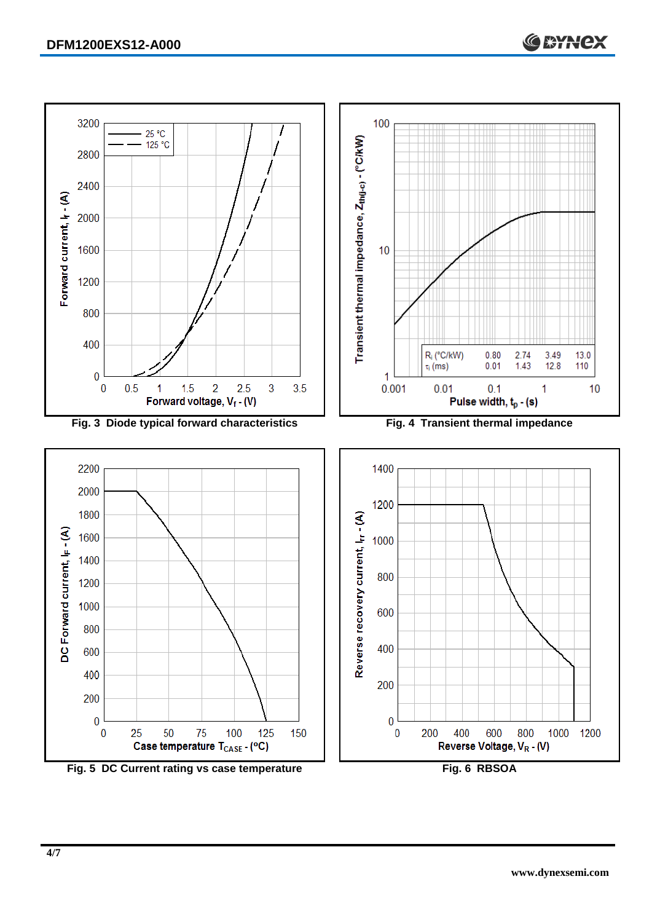

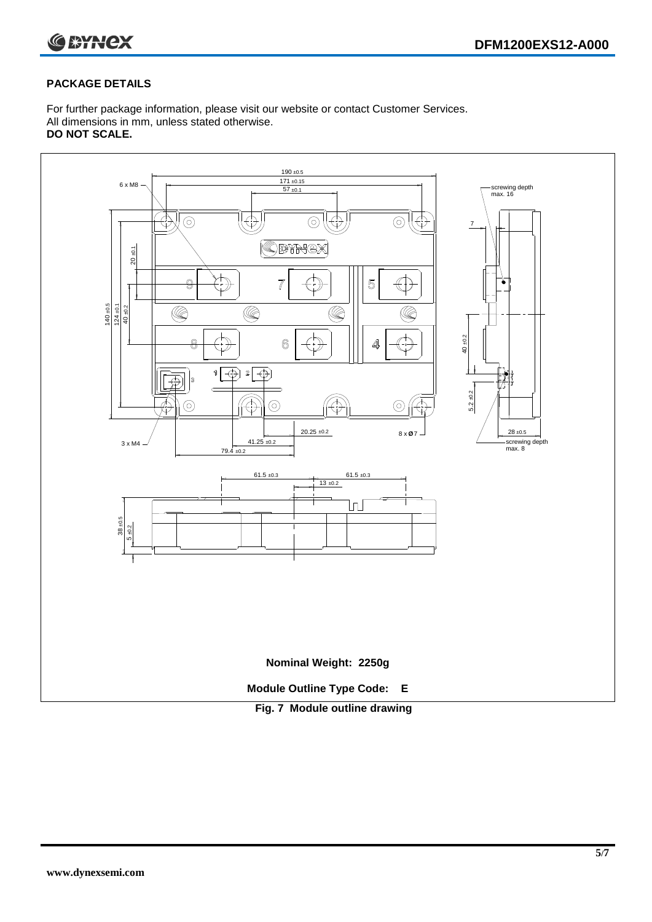

#### **PACKAGE DETAILS**

For further package information, please visit our website or contact Customer Services. All dimensions in mm, unless stated otherwise. **DO NOT SCALE.**